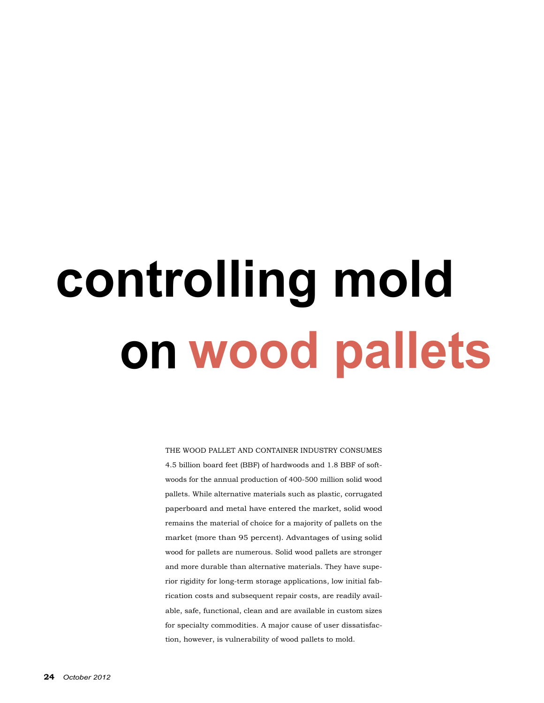## **controlling mold onwood pallets**

THE WOOD PALLET AND CONTAINER INDUSTRY CONSUMES 4.5 billion board feet (BBF) of hardwoods and 1.8 BBF of softwoods for the annual production of 400-500 million solid wood pallets. While alternative materials such as plastic, corrugated paperboard and metal have entered the market, solid wood remains the material of choice for a majority of pallets on the market (more than 95 percent). Advantages of using solid wood for pallets are numerous. Solid wood pallets are stronger and more durable than alternative materials. They have superior rigidity for long-term storage applications, low initial fabrication costs and subsequent repair costs, are readily available, safe, functional, clean and are available in custom sizes for specialty commodities. A major cause of user dissatisfaction, however, is vulnerability of wood pallets to mold.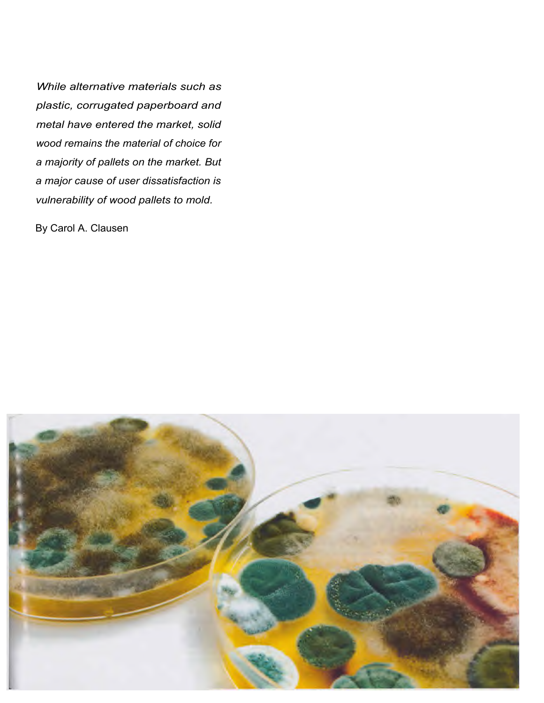*While alternative materials such as plastic, corrugated paperboard and metal have entered the market, solid wood remains the material of choice for a majority of pallets on the market. But a major cause of user dissatisfaction is vulnerability of wood pallets to mold.* 

By Carol A. Clausen

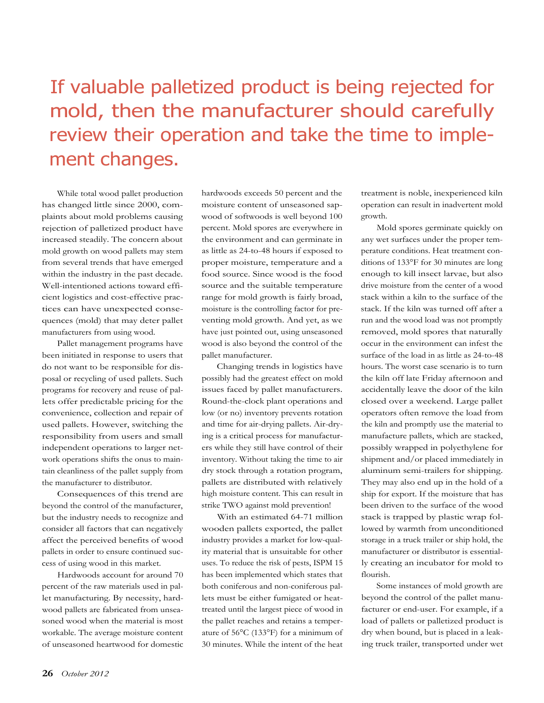### If valuable palletized product is being rejected for mold, then the manufacturer should carefully review their operation and take the time to implement changes.

While total wood pallet production has changed little since 2000, complaints about mold problems causing rejection of palletized product have increased steadily. The concern about mold growth on wood pallets may stem from several trends that have emerged within the industry in the past decade. Well-intentioned actions toward efficient logistics and cost-effective practices can have unexpected consequences (mold) that may deter pallet manufacturers from using wood.

Pallet management programs have been initiated in response to users that do not want to be responsible for disposal or recycling of used pallets. Such programs for recovery and reuse of pallets offer predictable pricing for the convenience, collection and repair of used pallets. However, switching the responsibility from users and small independent operations to larger network operations shifts the onus to maintain cleanliness of the pallet supply from the manufacturer to distributor.

Consequences of this trend are beyond the control of the manufacturer, but the industry needs to recognize and consider all factors that can negatively affect the perceived benefits of wood pallets in order to ensure continued success of using wood in this market.

Hardwoods account for around 70 percent of the raw materials used in pallet manufacturing. By necessity, hardwood pallets are fabricated from unseasoned wood when the material is most workable. The average moisture content of unseasoned heartwood for domestic hardwoods exceeds 50 percent and the moisture content of unseasoned sapwood of softwoods is well beyond 100 percent. Mold spores are everywhere in the environment and can germinate in as little as 24-to-48 hours if exposed to proper moisture, temperature and a food source. Since wood is the food source and the suitable temperature range for mold growth is fairly broad, moisture is the controlling factor for preventing mold growth. And yet, as we have just pointed out, using unseasoned wood is also beyond the control of the pallet manufacturer.

Changing trends in logistics have possibly had the greatest effect on mold issues faced by pallet manufacturers. Round-the-clock plant operations and low (or no) inventory prevents rotation and time for air-drying pallets. Air-drying is a critical process for manufacturers while they still have control of their inventory. Without taking the time to air dry stock through a rotation program, pallets are distributed with relatively high moisture content. This can result in strike TWO against mold prevention!

With an estimated 64-71 million wooden pallets exported, the pallet industry provides a market for low-quality material that is unsuitable for other uses. To reduce the risk of pests, ISPM 15 has been implemented which states that both coniferous and non-coniferous pallets must be either fumigated or heattreated until the largest piece of wood in the pallet reaches and retains a temperature of 56°C (133°F) for a minimum of 30 minutes. While the intent of the heat treatment is noble, inexperienced kiln operation can result in inadvertent mold growth.

Mold spores germinate quickly on any wet surfaces under the proper temperature conditions. Heat treatment conditions of 133°F for 30 minutes are long enough to kill insect larvae, but also drive moisture from the center of a wood stack within a kiln to the surface of the stack. If the kiln was turned off after a run and the wood load was not promptly removed, mold spores that naturally occur in the environment can infest the surface of the load in as little as 24-to-48 hours. The worst case scenario is to turn the kiln off late Friday afternoon and accidentally leave the door of the kiln closed over a weekend. Large pallet operators often remove the load from the kiln and promptly use the material to manufacture pallets, which are stacked, possibly wrapped in polyethylene for shipment and/or placed immediately in aluminum semi-trailers for shipping. They may also end up in the hold of a ship for export. If the moisture that has been driven to the surface of the wood stack is trapped by plastic wrap followed by warmth from unconditioned storage in a truck trailer or ship hold, the manufacturer or distributor is essentially creating an incubator for mold to flourish.

Some instances of mold growth are beyond the control of the pallet manufacturer or end-user. For example, if a load of pallets or palletized product is dry when bound, but is placed in a leaking truck trailer, transported under wet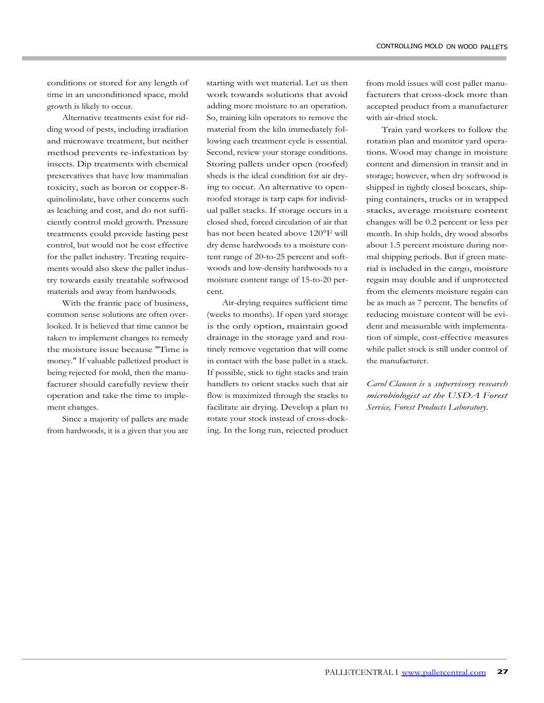conditions or stored for any length of time in an unconditioned space, mold growth is likely to occur.

Alternative treatments exist for ridding wood of pests, including irradiation and microwave treatment, but neither method prevents re-infestation by insects. Dip treatments with chemical preservatives that have low mammalian toxicity, such as boron or copper-8 quinolinolate, have other concerns such as leaching and cost, and do not sufficiently control mold growth. Pressure treatments could provide lasting pest control, but would not be cost effective for the pallet industry. Treating requirements would also skew the pallet industry towards easily treatable softwood materials and away from hardwoods.

With the frantic pace of business, common sense solutions are often overlooked. It is believed that time cannot be taken to implement changes to remedy the moisture issue because "Time is money." If valuable palletized product is being rejected for mold, then the manufacturer should carefully review their operation and take the time to implement changes.

Since a majority of pallets are made from hardwoods, it is a given that you are

starting with wet material. Let us then work towards solutions that avoid adding more moisture to an operation. So, training kiln operators to remove the material from the kiln immediately following each treatment cycle is essential. Second, review your storage conditions. Storing pallets under open (roofed) sheds is the ideal condition for air drying to occur. An alternative to openroofed storage is tarp caps for individual pallet stacks. If storage occurs in a closed shed, forced circulation of air that has not been heated above 120°F will dry dense hardwoods to a moisture content range of 20-to-25 percent and softwoods and low-density hardwoods to a moisture content range of 15-to-20 percent.

Air-drying requires sufficient time (weeks to months). If open yard storage is the only option, maintain good drainage in the storage yard and routinely remove vegetation that will come in contact with the base pallet in a stack. If possible, stick to tight stacks and train handlers to orient stacks such that air flow is maximized through the stacks to facilitate air drying. Develop a plan to rotate your stock instead of cross-docking. In the long run, rejected product from mold issues will cost pallet manufacturers that cross-dock more than accepted product from a manufacturer with air-dried stock.

Train yard workers to follow the rotation plan and monitor yard operations. Wood may change in moisture content and dimension in transit and in storage; however, when dry softwood is shipped in tightly closed boxcars, shipping containers, trucks or in wrapped stacks, average moisture content changes will be 0.2 percent or less per month. In ship holds, dry wood absorbs about 1.5 percent moisture during normal shipping periods. But if green material is included in the cargo, moisture regain may double and if unprotected from the elements moisture regain can be as much as 7 percent. The benefits of reducing moisture content will be evident and measurable with implementation of simple, cost-effective measures while pallet stock is still under control of the manufacturer.

*Carol Clausen is* a *supervisory research microbiologist at the USDA Forest Service, Forest Products Laboratory.*